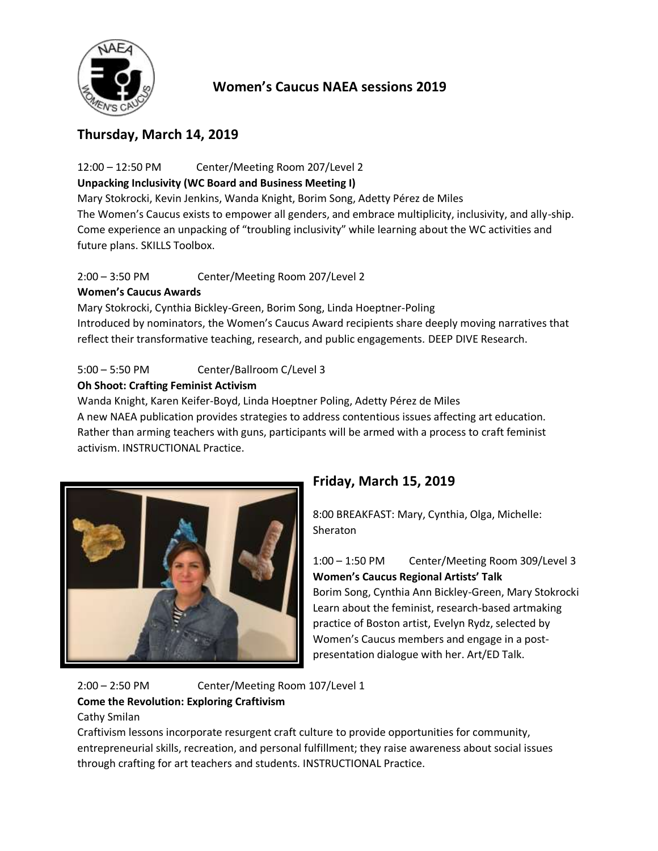

# **Women's Caucus NAEA sessions 2019**

## **Thursday, March 14, 2019**

12:00 – 12:50 PM Center/Meeting Room 207/Level 2

## **Unpacking Inclusivity (WC Board and Business Meeting I)**

Mary Stokrocki, Kevin Jenkins, Wanda Knight, Borim Song, Adetty Pérez de Miles The Women's Caucus exists to empower all genders, and embrace multiplicity, inclusivity, and ally-ship. Come experience an unpacking of "troubling inclusivity" while learning about the WC activities and future plans. SKILLS Toolbox.

2:00 – 3:50 PM Center/Meeting Room 207/Level 2

## **Women's Caucus Awards**

Mary Stokrocki, Cynthia Bickley-Green, Borim Song, Linda Hoeptner-Poling Introduced by nominators, the Women's Caucus Award recipients share deeply moving narratives that reflect their transformative teaching, research, and public engagements. DEEP DIVE Research.

## 5:00 – 5:50 PM Center/Ballroom C/Level 3

#### **Oh Shoot: Crafting Feminist Activism**

Wanda Knight, Karen Keifer-Boyd, Linda Hoeptner Poling, Adetty Pérez de Miles A new NAEA publication provides strategies to address contentious issues affecting art education. Rather than arming teachers with guns, participants will be armed with a process to craft feminist activism. INSTRUCTIONAL Practice.



# **Friday, March 15, 2019**

8:00 BREAKFAST: Mary, Cynthia, Olga, Michelle: Sheraton

1:00 – 1:50 PM Center/Meeting Room 309/Level 3 **Women's Caucus Regional Artists' Talk** Borim Song, Cynthia Ann Bickley-Green, Mary Stokrocki Learn about the feminist, research-based artmaking practice of Boston artist, Evelyn Rydz, selected by Women's Caucus members and engage in a postpresentation dialogue with her. Art/ED Talk.

2:00 – 2:50 PM Center/Meeting Room 107/Level 1 **Come the Revolution: Exploring Craftivism** Cathy Smilan

Craftivism lessons incorporate resurgent craft culture to provide opportunities for community, entrepreneurial skills, recreation, and personal fulfillment; they raise awareness about social issues through crafting for art teachers and students. INSTRUCTIONAL Practice.